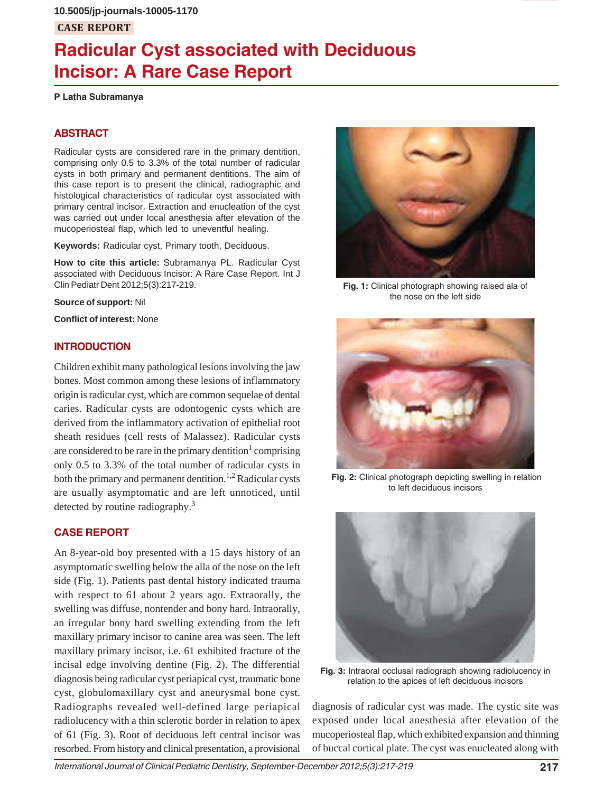# **Radicular Cyst associated with Deciduous Incisor: A Rare Case Report**

**P Latha Subramanya**

# **ABSTRACT**

Radicular cysts are considered rare in the primary dentition, comprising only 0.5 to 3.3% of the total number of radicular cysts in both primary and permanent dentitions. The aim of this case report is to present the clinical, radiographic and histological characteristics of radicular cyst associated with primary central incisor. Extraction and enucleation of the cyst was carried out under local anesthesia after elevation of the mucoperiosteal flap, which led to uneventful healing.

**Keywords:** Radicular cyst, Primary tooth, Deciduous.

**How to cite this article:** Subramanya PL. Radicular Cyst associated with Deciduous Incisor: A Rare Case Report. Int J Clin Pediatr Dent 2012;5(3):217-219.

**Source of support:** Nil

**Conflict of interest:** None

# **INTRODUCTION**

Children exhibit many pathological lesions involving the jaw bones. Most common among these lesions of inflammatory origin is radicular cyst, which are common sequelae of dental caries. Radicular cysts are odontogenic cysts which are derived from the inflammatory activation of epithelial root sheath residues (cell rests of Malassez). Radicular cysts are considered to be rare in the primary dentition<sup>1</sup> comprising only 0.5 to 3.3% of the total number of radicular cysts in both the primary and permanent dentition.<sup>1,2</sup> Radicular cysts are usually asymptomatic and are left unnoticed, until detected by routine radiography.3

# **CASE REPORT**

An 8-year-old boy presented with a 15 days history of an asymptomatic swelling below the alla of the nose on the left side (Fig. 1). Patients past dental history indicated trauma with respect to 61 about 2 years ago. Extraorally, the swelling was diffuse, nontender and bony hard. Intraorally, an irregular bony hard swelling extending from the left maxillary primary incisor to canine area was seen. The left maxillary primary incisor, i.e. 61 exhibited fracture of the incisal edge involving dentine (Fig. 2). The differential diagnosis being radicular cyst periapical cyst, traumatic bone cyst, globulomaxillary cyst and aneurysmal bone cyst. Radiographs revealed well-defined large periapical radiolucency with a thin sclerotic border in relation to apex of 61 (Fig. 3). Root of deciduous left central incisor was resorbed. From history and clinical presentation, a provisional



**Fig. 1:** Clinical photograph showing raised ala of the nose on the left side



 **Fig. 2:** Clinical photograph depicting swelling in relation to left deciduous incisors



**Fig. 3:** Intraoral occlusal radiograph showing radiolucency in relation to the apices of left deciduous incisors

diagnosis of radicular cyst was made. The cystic site was exposed under local anesthesia after elevation of the mucoperiosteal flap, which exhibited expansion and thinning of buccal cortical plate. The cyst was enucleated along with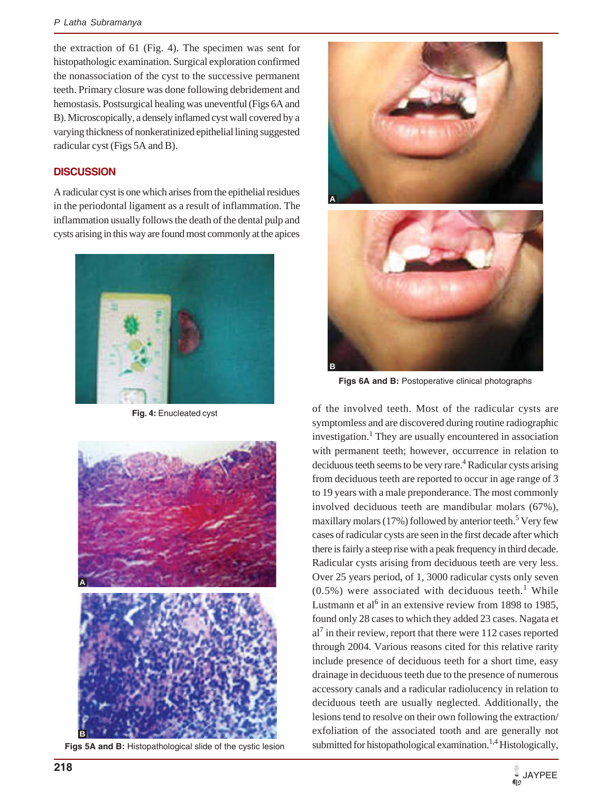the extraction of 61 (Fig. 4). The specimen was sent for histopathologic examination. Surgical exploration confirmed the nonassociation of the cyst to the successive permanent teeth. Primary closure was done following debridement and hemostasis. Postsurgical healing was uneventful (Figs 6A and B). Microscopically, a densely inflamed cyst wall covered by a varying thickness of nonkeratinized epithelial lining suggested radicular cyst (Figs 5A and B).

## **DISCUSSION**

A radicular cyst is one which arises from the epithelial residues in the periodontal ligament as a result of inflammation. The inflammation usually follows the death of the dental pulp and cysts arising in this way are found most commonly at the apices



**Fig. 4:** Enucleated cyst



**Figs 5A and B:** Histopathological slide of the cystic lesion





**Figs 6A and B:** Postoperative clinical photographs

of the involved teeth. Most of the radicular cysts are symptomless and are discovered during routine radiographic investigation.<sup>1</sup> They are usually encountered in association with permanent teeth; however, occurrence in relation to deciduous teeth seems to be very rare.<sup>4</sup> Radicular cysts arising from deciduous teeth are reported to occur in age range of 3 to 19 years with a male preponderance. The most commonly involved deciduous teeth are mandibular molars (67%), maxillary molars (17%) followed by anterior teeth.<sup>5</sup> Very few cases of radicular cysts are seen in the first decade after which there is fairly a steep rise with a peak frequency in third decade. Radicular cysts arising from deciduous teeth are very less. Over 25 years period, of 1, 3000 radicular cysts only seven  $(0.5\%)$  were associated with deciduous teeth.<sup>1</sup> While Lustmann et al<sup>6</sup> in an extensive review from 1898 to 1985, found only 28 cases to which they added 23 cases. Nagata et  $al<sup>7</sup>$  in their review, report that there were 112 cases reported through 2004. Various reasons cited for this relative rarity include presence of deciduous teeth for a short time, easy drainage in deciduous teeth due to the presence of numerous accessory canals and a radicular radiolucency in relation to deciduous teeth are usually neglected. Additionally, the lesions tend to resolve on their own following the extraction/ exfoliation of the associated tooth and are generally not submitted for histopathological examination.<sup>1,4</sup> Histologically,